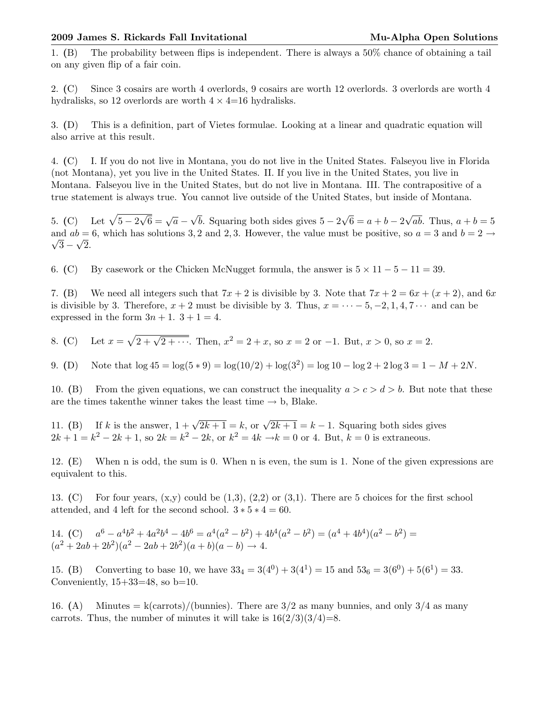## 2009 James S. Rickards Fall Invitational Mu-Alpha Open Solutions

1. (B) The probability between flips is independent. There is always a 50% chance of obtaining a tail on any given flip of a fair coin.

2. (C) Since 3 cosairs are worth 4 overlords, 9 cosairs are worth 12 overlords. 3 overlords are worth 4 hydralisks, so 12 overlords are worth  $4 \times 4=16$  hydralisks.

3. (D) This is a definition, part of Vietes formulae. Looking at a linear and quadratic equation will also arrive at this result.

4. (C) I. If you do not live in Montana, you do not live in the United States. Falseyou live in Florida (not Montana), yet you live in the United States. II. If you live in the United States, you live in Montana. Falseyou live in the United States, but do not live in Montana. III. The contrapositive of a true statement is always true. You cannot live outside of the United States, but inside of Montana.

5. (C) Let  $\sqrt{5-2}$  $\overline{\sqrt{6}} = \sqrt{a}$  – √ b. Squaring both sides gives  $5 - 2$ √  $6 = a + b - 2$ √ ab. Thus,  $a + b = 5$ and  $ab = 6$ , which has solutions 3, 2 and 2, 3. However, the value must be positive, so  $a = 3$  and  $b = 2 \rightarrow \overline{6}$  $3 - \sqrt{2}$ .

6. (C) By casework or the Chicken McNugget formula, the answer is  $5 \times 11 - 5 - 11 = 39$ .

7. (B) We need all integers such that  $7x + 2$  is divisible by 3. Note that  $7x + 2 = 6x + (x + 2)$ , and  $6x$ is divisible by 3. Therefore,  $x + 2$  must be divisible by 3. Thus,  $x = \cdots - 5, -2, 1, 4, 7 \cdots$  and can be expressed in the form  $3n + 1$ .  $3 + 1 = 4$ .

8. (C) Let  $x = \sqrt{2 + \sqrt{2 + \cdots}}$ . Then,  $x^2 = 2 + x$ , so  $x = 2$  or  $-1$ . But,  $x > 0$ , so  $x = 2$ .

9. (D) Note that  $\log 45 = \log(5 * 9) = \log(10/2) + \log(3^2) = \log 10 - \log 2 + 2 \log 3 = 1 - M + 2N$ .

10. (B) From the given equations, we can construct the inequality  $a > c > d > b$ . But note that these are the times taken the winner takes the least time  $\rightarrow$  b, Blake.

11. (B) If k is the answer,  $1 + \sqrt{2k+1} = k$ , or  $\sqrt{2k+1} = k-1$ . Squaring both sides gives  $2k + 1 = k^2 - 2k + 1$ , so  $2k = k^2 - 2k$ , or  $k^2 = 4k \rightarrow k = 0$  or 4. But,  $k = 0$  is extraneous.

12. (E) When n is odd, the sum is 0. When n is even, the sum is 1. None of the given expressions are equivalent to this.

13. (C) For four years,  $(x,y)$  could be  $(1,3)$ ,  $(2,2)$  or  $(3,1)$ . There are 5 choices for the first school attended, and 4 left for the second school.  $3 * 5 * 4 = 60$ .

14. (C)  $a^6 - a^4b^2 + 4a^2b^4 - 4b^6 = a^4(a^2 - b^2) + 4b^4(a^2 - b^2) = (a^4 + 4b^4)(a^2 - b^2) =$  $(a^{2} + 2ab + 2b^{2})(a^{2} - 2ab + 2b^{2})(a + b)(a - b) \rightarrow 4.$ 

15. (B) Converting to base 10, we have  $33_4 = 3(4^0) + 3(4^1) = 15$  and  $53_6 = 3(6^0) + 5(6^1) = 33$ . Conveniently,  $15+33=48$ , so  $b=10$ .

16. (A) Minutes = k(carrots)/(bunnies). There are  $3/2$  as many bunnies, and only  $3/4$  as many carrots. Thus, the number of minutes it will take is  $16(2/3)(3/4)=8$ .